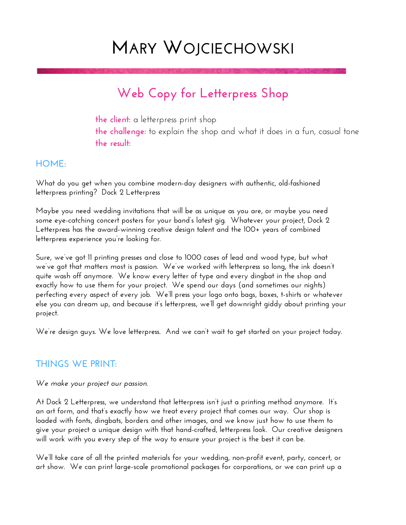# **MARY WOJCIECHOWSKI**

# **Web Copy for Letterpress Shop**

**the client:** a letterpress print shop **the challenge:** to explain the shop and what it does in a fun, casual tone **the result:** 

### **HOME:**

**What do you get when you combine modern-day designers with authentic, old-fashioned letterpress printing? Dock 2 Letterpress** 

**Maybe you need wedding invitations that will be as unique as you are, or maybe you need some eye-catching concert posters for your band's latest gig. Whatever your project, Dock 2 Letterpress has the award-winning creative design talent and the 100+ years of combined letterpress experience you're looking for.** 

**Sure, we've got 11 printing presses and close to 1000 cases of lead and wood type, but what we've got that matters most is passion. We've worked with letterpress so long, the ink doesn't quite wash off anymore. We know every letter of type and every dingbat in the shop and exactly how to use them for your project. We spend our days (and sometimes our nights) perfecting every aspect of every job. We'll press your logo onto bags, boxes, t-shirts or whatever else you can dream up, and because it's letterpress, we'll get downright giddy about printing your project.** 

**We're design guys. We love letterpress. And we can't wait to get started on your project today.** 

# **THINGS WE PRINT:**

#### *We make your project our passion.*

**At Dock 2 Letterpress, we understand that letterpress isn't just a printing method anymore. It's an art form, and that's exactly how we treat every project that comes our way. Our shop is loaded with fonts, dingbats, borders and other images, and we know just how to use them to give your project a unique design with that hand-crafted, letterpress look. Our creative designers will work with you every step of the way to ensure your project is the best it can be.** 

**We'll take care of all the printed materials for your wedding, non-profit event, party, concert, or art show. We can print large-scale promotional packages for corporations, or we can print up a**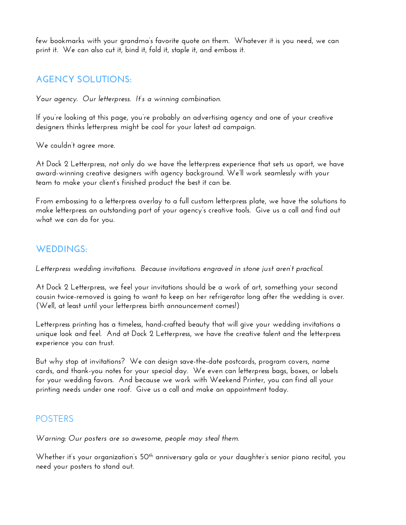**few bookmarks with your grandma's favorite quote on them. Whatever it is you need, we can print it. We can also cut it, bind it, fold it, staple it, and emboss it.** 

# **AGENCY SOLUTIONS:**

*Your agency. Our letterpress. It's a winning combination.* 

**If you're looking at this page, you're probably an advertising agency and one of your creative designers thinks letterpress might be cool for your latest ad campaign.** 

**We couldn't agree more.** 

**At Dock 2 Letterpress, not only do we have the letterpress experience that sets us apart, we have award-winning creative designers with agency background. We'll work seamlessly with your team to make your client's finished product the best it can be.** 

**From embossing to a letterpress overlay to a full custom letterpress plate, we have the solutions to make letterpress an outstanding part of your agency's creative tools. Give us a call and find out what we can do for you.** 

# **WEDDINGS:**

*Letterpress wedding invitations. Because invitations engraved in stone just aren't practical.* 

**At Dock 2 Letterpress, we feel your invitations should be a work of art, something your second cousin twice-removed is going to want to keep on her refrigerator long after the wedding is over. (Well, at least until your letterpress birth announcement comes!)** 

**Letterpress printing has a timeless, hand-crafted beauty that will give your wedding invitations a unique look and feel. And at Dock 2 Letterpress, we have the creative talent and the letterpress experience you can trust.** 

**But why stop at invitations? We can design save-the-date postcards, program covers, name cards, and thank-you notes for your special day. We even can letterpress bags, boxes, or labels for your wedding favors. And because we work with Weekend Printer, you can find all your printing needs under one roof. Give us a call and make an appointment today.** 

#### **POSTERS**

*Warning: Our posters are so awesome, people may steal them.* 

Whether it's your organization's 50<sup>th</sup> anniversary gala or your daughter's senior piano recital, you **need your posters to stand out.**